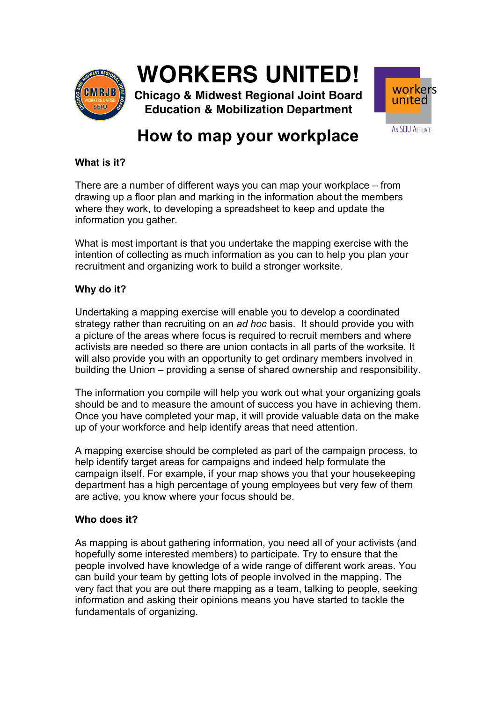

# **WORKERS UNITED!**

**Chicago & Midwest Regional Joint Board Education & Mobilization Department**



# **How to map your workplace**

### **What is it?**

There are a number of different ways you can map your workplace – from drawing up a floor plan and marking in the information about the members where they work, to developing a spreadsheet to keep and update the information you gather.

What is most important is that you undertake the mapping exercise with the intention of collecting as much information as you can to help you plan your recruitment and organizing work to build a stronger worksite.

# **Why do it?**

Undertaking a mapping exercise will enable you to develop a coordinated strategy rather than recruiting on an *ad hoc* basis. It should provide you with a picture of the areas where focus is required to recruit members and where activists are needed so there are union contacts in all parts of the worksite. It will also provide you with an opportunity to get ordinary members involved in building the Union – providing a sense of shared ownership and responsibility.

The information you compile will help you work out what your organizing goals should be and to measure the amount of success you have in achieving them. Once you have completed your map, it will provide valuable data on the make up of your workforce and help identify areas that need attention.

A mapping exercise should be completed as part of the campaign process, to help identify target areas for campaigns and indeed help formulate the campaign itself. For example, if your map shows you that your housekeeping department has a high percentage of young employees but very few of them are active, you know where your focus should be.

# **Who does it?**

As mapping is about gathering information, you need all of your activists (and hopefully some interested members) to participate. Try to ensure that the people involved have knowledge of a wide range of different work areas. You can build your team by getting lots of people involved in the mapping. The very fact that you are out there mapping as a team, talking to people, seeking information and asking their opinions means you have started to tackle the fundamentals of organizing.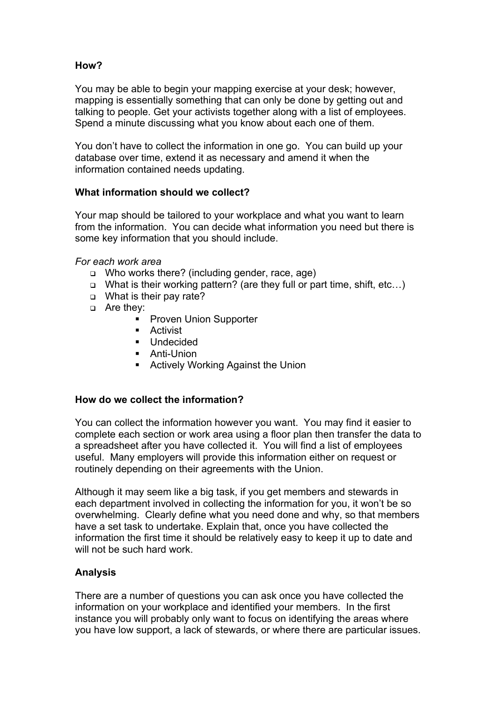# **How?**

You may be able to begin your mapping exercise at your desk; however, mapping is essentially something that can only be done by getting out and talking to people. Get your activists together along with a list of employees. Spend a minute discussing what you know about each one of them.

You don't have to collect the information in one go. You can build up your database over time, extend it as necessary and amend it when the information contained needs updating.

# **What information should we collect?**

Your map should be tailored to your workplace and what you want to learn from the information. You can decide what information you need but there is some key information that you should include.

### *For each work area*

- <sup>q</sup> Who works there? (including gender, race, age)
- <sup>q</sup> What is their working pattern? (are they full or part time, shift, etc…)
- <sup>q</sup> What is their pay rate?
- □ Are they:
	- Proven Union Supporter
	- Activist
	- Undecided
	- Anti-Union
	- Actively Working Against the Union

### **How do we collect the information?**

You can collect the information however you want. You may find it easier to complete each section or work area using a floor plan then transfer the data to a spreadsheet after you have collected it. You will find a list of employees useful. Many employers will provide this information either on request or routinely depending on their agreements with the Union.

Although it may seem like a big task, if you get members and stewards in each department involved in collecting the information for you, it won't be so overwhelming. Clearly define what you need done and why, so that members have a set task to undertake. Explain that, once you have collected the information the first time it should be relatively easy to keep it up to date and will not be such hard work.

# **Analysis**

There are a number of questions you can ask once you have collected the information on your workplace and identified your members. In the first instance you will probably only want to focus on identifying the areas where you have low support, a lack of stewards, or where there are particular issues.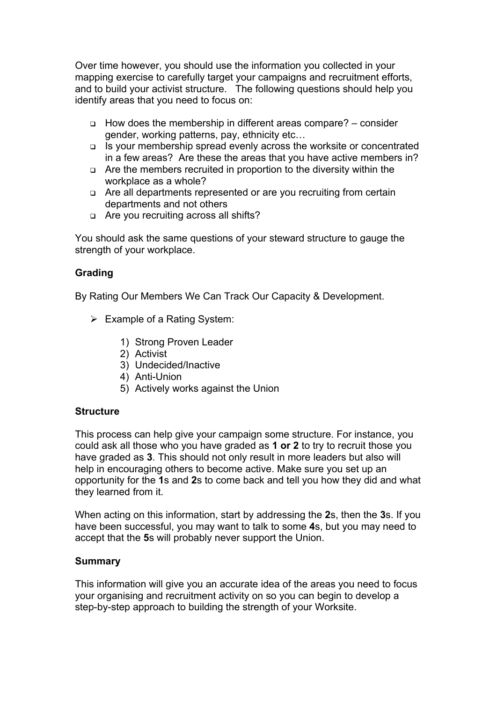Over time however, you should use the information you collected in your mapping exercise to carefully target your campaigns and recruitment efforts, and to build your activist structure. The following questions should help you identify areas that you need to focus on:

- <sup>q</sup> How does the membership in different areas compare? consider gender, working patterns, pay, ethnicity etc…
- <sup>q</sup> Is your membership spread evenly across the worksite or concentrated in a few areas? Are these the areas that you have active members in?
- <sup>q</sup> Are the members recruited in proportion to the diversity within the workplace as a whole?
- <sup>q</sup> Are all departments represented or are you recruiting from certain departments and not others
- <sup>q</sup> Are you recruiting across all shifts?

You should ask the same questions of your steward structure to gauge the strength of your workplace.

# **Grading**

By Rating Our Members We Can Track Our Capacity & Development.

- $\triangleright$  Example of a Rating System:
	- 1) Strong Proven Leader
	- 2) Activist
	- 3) Undecided/Inactive
	- 4) Anti-Union
	- 5) Actively works against the Union

### **Structure**

This process can help give your campaign some structure. For instance, you could ask all those who you have graded as **1 or 2** to try to recruit those you have graded as **3**. This should not only result in more leaders but also will help in encouraging others to become active. Make sure you set up an opportunity for the **1**s and **2**s to come back and tell you how they did and what they learned from it.

When acting on this information, start by addressing the **2**s, then the **3**s. If you have been successful, you may want to talk to some **4**s, but you may need to accept that the **5**s will probably never support the Union.

### **Summary**

This information will give you an accurate idea of the areas you need to focus your organising and recruitment activity on so you can begin to develop a step-by-step approach to building the strength of your Worksite.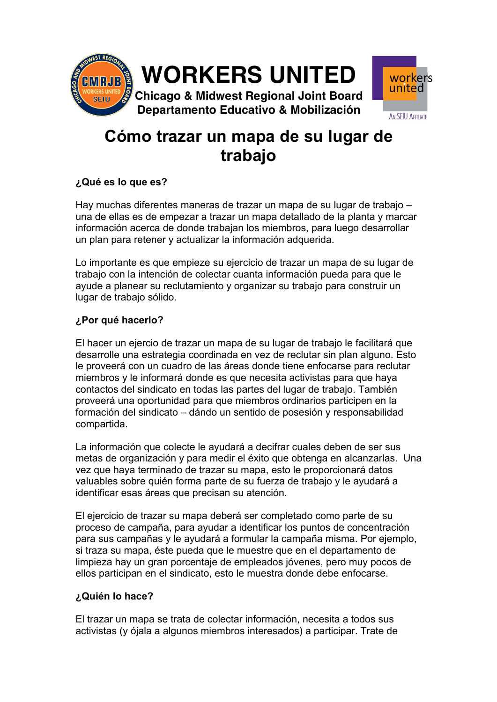

# **Cómo trazar un mapa de su lugar de trabajo**

# **¿Qué es lo que es?**

Hay muchas diferentes maneras de trazar un mapa de su lugar de trabajo – una de ellas es de empezar a trazar un mapa detallado de la planta y marcar información acerca de donde trabajan los miembros, para luego desarrollar un plan para retener y actualizar la información adquerida.

Lo importante es que empieze su ejercicio de trazar un mapa de su lugar de trabajo con la intención de colectar cuanta información pueda para que le ayude a planear su reclutamiento y organizar su trabajo para construir un lugar de trabajo sólido.

### **¿Por qué hacerlo?**

El hacer un ejercio de trazar un mapa de su lugar de trabajo le facilitará que desarrolle una estrategia coordinada en vez de reclutar sin plan alguno. Esto le proveerá con un cuadro de las áreas donde tiene enfocarse para reclutar miembros y le informará donde es que necesita activistas para que haya contactos del sindicato en todas las partes del lugar de trabajo. También proveerá una oportunidad para que miembros ordinarios participen en la formación del sindicato – dándo un sentido de posesión y responsabilidad compartida.

La información que colecte le ayudará a decifrar cuales deben de ser sus metas de organización y para medir el éxito que obtenga en alcanzarlas. Una vez que haya terminado de trazar su mapa, esto le proporcionará datos valuables sobre quién forma parte de su fuerza de trabajo y le ayudará a identificar esas áreas que precisan su atención.

El ejercicio de trazar su mapa deberá ser completado como parte de su proceso de campaña, para ayudar a identificar los puntos de concentración para sus campañas y le ayudará a formular la campaña misma. Por ejemplo, si traza su mapa, éste pueda que le muestre que en el departamento de limpieza hay un gran porcentaje de empleados jóvenes, pero muy pocos de ellos participan en el sindicato, esto le muestra donde debe enfocarse.

### **¿Quién lo hace?**

El trazar un mapa se trata de colectar información, necesita a todos sus activistas (y ójala a algunos miembros interesados) a participar. Trate de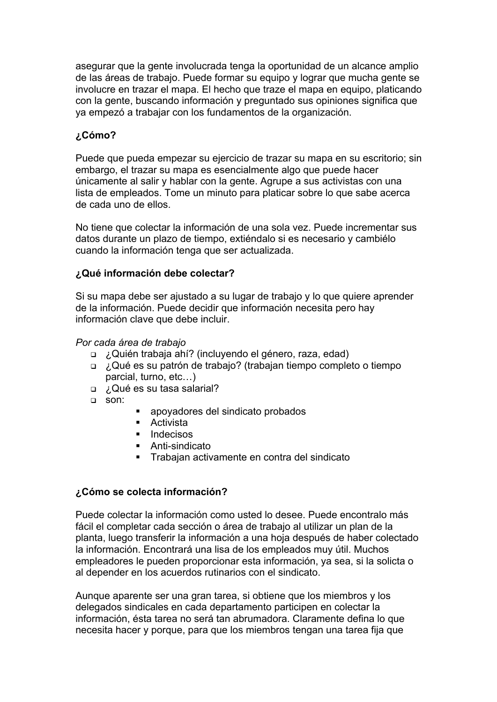asegurar que la gente involucrada tenga la oportunidad de un alcance amplio de las áreas de trabajo. Puede formar su equipo y lograr que mucha gente se involucre en trazar el mapa. El hecho que traze el mapa en equipo, platicando con la gente, buscando información y preguntado sus opiniones significa que ya empezó a trabajar con los fundamentos de la organización.

### **¿Cómo?**

Puede que pueda empezar su ejercicio de trazar su mapa en su escritorio; sin embargo, el trazar su mapa es esencialmente algo que puede hacer únicamente al salir y hablar con la gente. Agrupe a sus activistas con una lista de empleados. Tome un minuto para platicar sobre lo que sabe acerca de cada uno de ellos.

No tiene que colectar la información de una sola vez. Puede incrementar sus datos durante un plazo de tiempo, extiéndalo si es necesario y cambiélo cuando la información tenga que ser actualizada.

### **¿Qué información debe colectar?**

Si su mapa debe ser ajustado a su lugar de trabajo y lo que quiere aprender de la información. Puede decidir que información necesita pero hay información clave que debe incluir.

#### *Por cada área de trabajo*

- <sup>q</sup> ¿Quién trabaja ahí? (incluyendo el género, raza, edad)
- <sup>q</sup> ¿Qué es su patrón de trabajo? (trabajan tiempo completo o tiempo parcial, turno, etc…)
- <sup>q</sup> ¿Qué es su tasa salarial?
- <sup>q</sup> son:
- apoyadores del sindicato probados
- Activista
- Indecisos
- Anti-sindicato
- § Trabajan activamente en contra del sindicato

### **¿Cómo se colecta información?**

Puede colectar la información como usted lo desee. Puede encontralo más fácil el completar cada sección o área de trabajo al utilizar un plan de la planta, luego transferir la información a una hoja después de haber colectado la información. Encontrará una lisa de los empleados muy útil. Muchos empleadores le pueden proporcionar esta información, ya sea, si la solicta o al depender en los acuerdos rutinarios con el sindicato.

Aunque aparente ser una gran tarea, si obtiene que los miembros y los delegados sindicales en cada departamento participen en colectar la información, ésta tarea no será tan abrumadora. Claramente defina lo que necesita hacer y porque, para que los miembros tengan una tarea fija que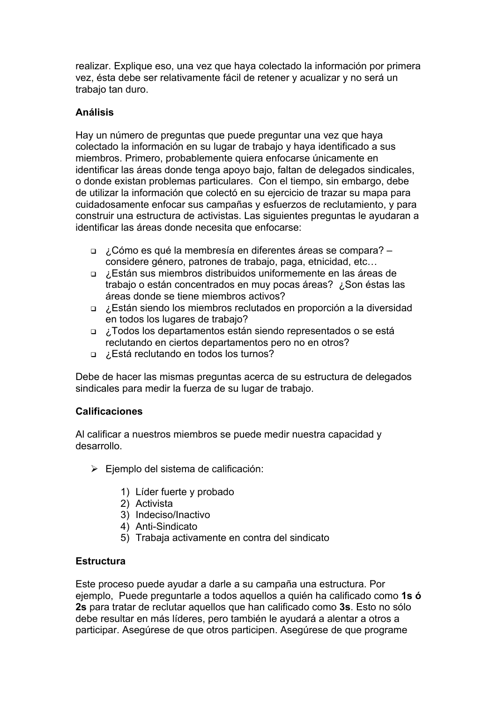realizar. Explique eso, una vez que haya colectado la información por primera vez, ésta debe ser relativamente fácil de retener y acualizar y no será un trabajo tan duro.

# **Análisis**

Hay un número de preguntas que puede preguntar una vez que haya colectado la información en su lugar de trabajo y haya identificado a sus miembros. Primero, probablemente quiera enfocarse únicamente en identificar las áreas donde tenga apoyo bajo, faltan de delegados sindicales, o donde existan problemas particulares. Con el tiempo, sin embargo, debe de utilizar la información que colectó en su ejercicio de trazar su mapa para cuidadosamente enfocar sus campañas y esfuerzos de reclutamiento, y para construir una estructura de activistas. Las siguientes preguntas le ayudaran a identificar las áreas donde necesita que enfocarse:

- <sup>q</sup> ¿Cómo es qué la membresía en diferentes áreas se compara? considere género, patrones de trabajo, paga, etnicidad, etc…
- <sup>q</sup> ¿Están sus miembros distribuidos uniformemente en las áreas de trabajo o están concentrados en muy pocas áreas? ¿Son éstas las áreas donde se tiene miembros activos?
- <sup>q</sup> ¿Están siendo los miembros reclutados en proporción a la diversidad en todos los lugares de trabajo?
- <sup>q</sup> ¿Todos los departamentos están siendo representados o se está reclutando en ciertos departamentos pero no en otros?
- <sup>q</sup> ¿Está reclutando en todos los turnos?

Debe de hacer las mismas preguntas acerca de su estructura de delegados sindicales para medir la fuerza de su lugar de trabajo.

### **Calificaciones**

Al calificar a nuestros miembros se puede medir nuestra capacidad y desarrollo.

- $\triangleright$  Ejemplo del sistema de calificación:
	- 1) Líder fuerte y probado
	- 2) Activista
	- 3) Indeciso/Inactivo
	- 4) Anti-Sindicato
	- 5) Trabaja activamente en contra del sindicato

### **Estructura**

Este proceso puede ayudar a darle a su campaña una estructura. Por ejemplo, Puede preguntarle a todos aquellos a quién ha calificado como **1s ó 2s** para tratar de reclutar aquellos que han calificado como **3s**. Esto no sólo debe resultar en más líderes, pero también le ayudará a alentar a otros a participar. Asegúrese de que otros participen. Asegúrese de que programe